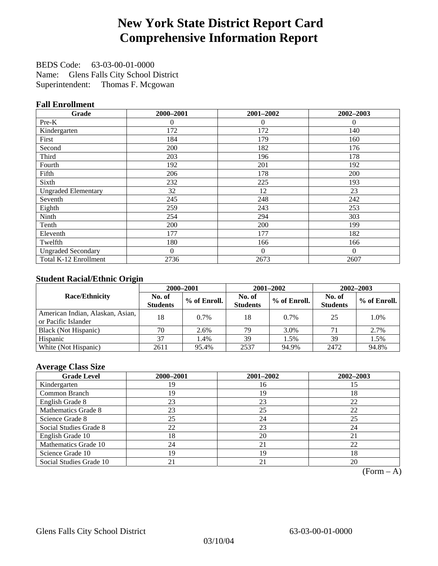# **New York State District Report Card Comprehensive Information Report**

BEDS Code: 63-03-00-01-0000 Name: Glens Falls City School District Superintendent: Thomas F. Mcgowan

### **Fall Enrollment**

| Grade                      | 2000-2001 | 2001-2002 | 2002-2003 |
|----------------------------|-----------|-----------|-----------|
| Pre-K                      | $\theta$  | $\theta$  | $\Omega$  |
| Kindergarten               | 172       | 172       | 140       |
| First                      | 184       | 179       | 160       |
| Second                     | 200       | 182       | 176       |
| Third                      | 203       | 196       | 178       |
| Fourth                     | 192       | 201       | 192       |
| Fifth                      | 206       | 178       | 200       |
| Sixth                      | 232       | 225       | 193       |
| <b>Ungraded Elementary</b> | 32        | 12        | 23        |
| Seventh                    | 245       | 248       | 242       |
| Eighth                     | 259       | 243       | 253       |
| Ninth                      | 254       | 294       | 303       |
| Tenth                      | 200       | 200       | 199       |
| Eleventh                   | 177       | 177       | 182       |
| Twelfth                    | 180       | 166       | 166       |
| <b>Ungraded Secondary</b>  | $\theta$  | $\Omega$  | $\Omega$  |
| Total K-12 Enrollment      | 2736      | 2673      | 2607      |

### **Student Racial/Ethnic Origin**

|                                                         |                           | 2001-2002<br>2000-2001<br>$2002 - 2003$ |                           |              |                           |                |
|---------------------------------------------------------|---------------------------|-----------------------------------------|---------------------------|--------------|---------------------------|----------------|
| <b>Race/Ethnicity</b>                                   | No. of<br><b>Students</b> | % of Enroll.                            | No. of<br><b>Students</b> | % of Enroll. | No. of<br><b>Students</b> | $%$ of Enroll. |
| American Indian, Alaskan, Asian,<br>or Pacific Islander | 18                        | $0.7\%$                                 | 18                        | $0.7\%$      | 25                        | 1.0%           |
| Black (Not Hispanic)                                    | 70                        | 2.6%                                    | 79                        | 3.0%         |                           | 2.7%           |
| Hispanic                                                | 37                        | 1.4%                                    | 39                        | 1.5%         | 39                        | 1.5%           |
| White (Not Hispanic)                                    | 2611                      | 95.4%                                   | 2537                      | 94.9%        | 2472                      | 94.8%          |

### **Average Class Size**

| <b>Grade Level</b>      | 2000-2001 | 2001-2002 | 2002-2003 |
|-------------------------|-----------|-----------|-----------|
| Kindergarten            | 19        | 16        | 15        |
| Common Branch           | 19        | 19        | 18        |
| English Grade 8         | 23        | 23        | 22        |
| Mathematics Grade 8     | 23        | 25        | 22        |
| Science Grade 8         | 25        | 24        | 25        |
| Social Studies Grade 8  | 22        | 23        | 24        |
| English Grade 10        | 18        | 20        | 21        |
| Mathematics Grade 10    | 24        | 21        | 22        |
| Science Grade 10        | 19        | 19        | 18        |
| Social Studies Grade 10 | 21        | 21        | 20        |

 $(Form - A)$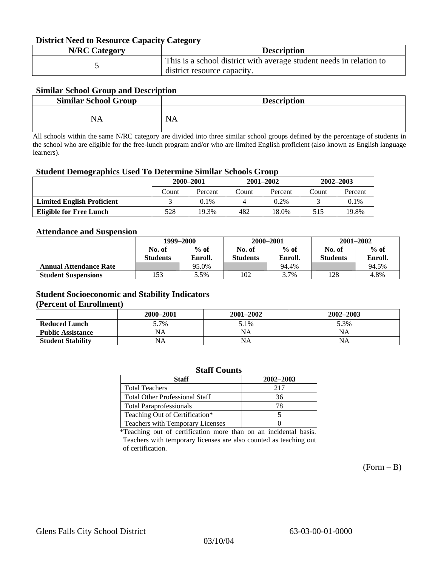#### **District Need to Resource Capacity Category**

| <b>N/RC Category</b> | <b>Description</b>                                                                                 |
|----------------------|----------------------------------------------------------------------------------------------------|
|                      | This is a school district with average student needs in relation to<br>district resource capacity. |

### **Similar School Group and Description**

| <b>Similar School Group</b> | <b>Description</b> |
|-----------------------------|--------------------|
| NA                          | <b>NA</b>          |

All schools within the same N/RC category are divided into three similar school groups defined by the percentage of students in the school who are eligible for the free-lunch program and/or who are limited English proficient (also known as English language learners).

#### **Student Demographics Used To Determine Similar Schools Group**

| 0                                 | 2000-2001 |         |       | $2001 - 2002$ | $2002 - 2003$ |         |
|-----------------------------------|-----------|---------|-------|---------------|---------------|---------|
|                                   | Count     | Percent | Count | Percent       | Count         | Percent |
| <b>Limited English Proficient</b> |           | $0.1\%$ |       | $0.2\%$       |               | 0.1%    |
| Eligible for Free Lunch           | 528       | 19.3%   | 482   | 18.0%         | 515           | 19.8%   |

#### **Attendance and Suspension**

|                               | 1999–2000       |         |                 | 2000-2001 | $2001 - 2002$   |         |
|-------------------------------|-----------------|---------|-----------------|-----------|-----------------|---------|
|                               | No. of          | $%$ of  | No. of          | $%$ of    | No. of          | $%$ of  |
|                               | <b>Students</b> | Enroll. | <b>Students</b> | Enroll.   | <b>Students</b> | Enroll. |
| <b>Annual Attendance Rate</b> |                 | 95.0%   |                 | 94.4%     |                 | 94.5%   |
| <b>Student Suspensions</b>    | 153             | 5.5%    | 102             | 3.7%      | 128             | 4.8%    |

### **Student Socioeconomic and Stability Indicators**

#### **(Percent of Enrollment)**

|                          | 2000–2001 | $2001 - 2002$ | 2002–2003 |
|--------------------------|-----------|---------------|-----------|
| <b>Reduced Lunch</b>     | 5.7%      | 5.1%          | 5.3%      |
| <b>Public Assistance</b> | NA        | NA            | ΝA        |
| <b>Student Stability</b> | NA        | <b>NA</b>     | NΑ        |

| <b>Staff Counts</b>                   |           |  |  |  |  |
|---------------------------------------|-----------|--|--|--|--|
| <b>Staff</b>                          | 2002-2003 |  |  |  |  |
| <b>Total Teachers</b>                 | 217       |  |  |  |  |
| <b>Total Other Professional Staff</b> | 36        |  |  |  |  |
| <b>Total Paraprofessionals</b>        | 78        |  |  |  |  |
| Teaching Out of Certification*        |           |  |  |  |  |
| Teachers with Temporary Licenses      |           |  |  |  |  |

\*Teaching out of certification more than on an incidental basis. Teachers with temporary licenses are also counted as teaching out of certification.

 $(Form - B)$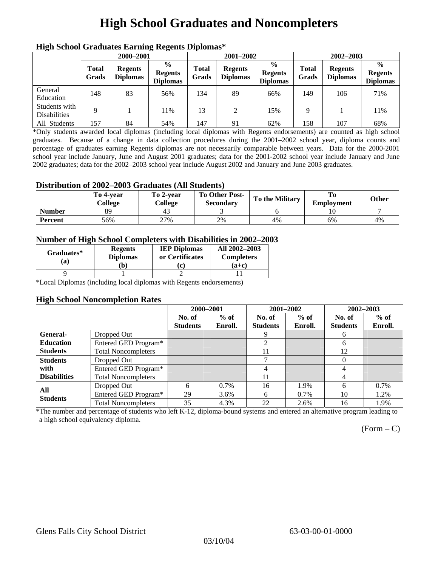# **High School Graduates and Noncompleters**

| ніді эспол этайнакі патінід кеденія вірюшая |                       |                                   |                                                     |                       |                                   |                                                    |                       |                                   |                                                    |  |
|---------------------------------------------|-----------------------|-----------------------------------|-----------------------------------------------------|-----------------------|-----------------------------------|----------------------------------------------------|-----------------------|-----------------------------------|----------------------------------------------------|--|
|                                             | 2000-2001             |                                   |                                                     |                       | 2001-2002                         |                                                    |                       | 2002-2003                         |                                                    |  |
|                                             | <b>Total</b><br>Grads | <b>Regents</b><br><b>Diplomas</b> | $\frac{6}{10}$<br><b>Regents</b><br><b>Diplomas</b> | <b>Total</b><br>Grads | <b>Regents</b><br><b>Diplomas</b> | $\frac{6}{6}$<br><b>Regents</b><br><b>Diplomas</b> | <b>Total</b><br>Grads | <b>Regents</b><br><b>Diplomas</b> | $\frac{0}{0}$<br><b>Regents</b><br><b>Diplomas</b> |  |
| General<br>Education                        | 148                   | 83                                | 56%                                                 | 134                   | 89                                | 66%                                                | 149                   | 106                               | 71%                                                |  |
| Students with<br><b>Disabilities</b>        | 9                     |                                   | 11%                                                 | 13                    | 2                                 | 15%                                                | Q                     |                                   | 11%                                                |  |
| All Students                                | 157                   | 84                                | 54%                                                 | 147                   | 91                                | 62%                                                | 158                   | 107                               | 68%                                                |  |

### **High School Graduates Earning Regents Diplomas\***

\*Only students awarded local diplomas (including local diplomas with Regents endorsements) are counted as high school graduates. Because of a change in data collection procedures during the 2001–2002 school year, diploma counts and percentage of graduates earning Regents diplomas are not necessarily comparable between years. Data for the 2000-2001 school year include January, June and August 2001 graduates; data for the 2001-2002 school year include January and June 2002 graduates; data for the 2002–2003 school year include August 2002 and January and June 2003 graduates.

### **Distribution of 2002–2003 Graduates (All Students)**

|               | To 4-vear<br>College | To 2-vear<br>College | <b>To Other Post-</b><br><b>Secondary</b> | <b>To the Military</b> | <b>Employment</b> | Other |
|---------------|----------------------|----------------------|-------------------------------------------|------------------------|-------------------|-------|
| <b>Number</b> | 89                   | 4.                   |                                           |                        |                   |       |
| Percent       | 56%                  | 27%                  | 2%                                        | 4%                     | 6%                | 4%    |

### **Number of High School Completers with Disabilities in 2002–2003**

| Graduates*<br>(a) | <b>Regents</b><br><b>Diplomas</b> | <b>IEP Diplomas</b><br>or Certificates | All 2002-2003<br><b>Completers</b> |  |
|-------------------|-----------------------------------|----------------------------------------|------------------------------------|--|
|                   | b)                                | c.                                     | $(a+c)$                            |  |
|                   |                                   |                                        |                                    |  |

\*Local Diplomas (including local diplomas with Regents endorsements)

#### **High School Noncompletion Rates**

|                     |                            | 2000-2001       |         | 2001-2002       |         | 2002-2003       |         |
|---------------------|----------------------------|-----------------|---------|-----------------|---------|-----------------|---------|
|                     |                            | No. of          | $%$ of  | No. of          | $%$ of  | No. of          | $%$ of  |
|                     |                            | <b>Students</b> | Enroll. | <b>Students</b> | Enroll. | <b>Students</b> | Enroll. |
| <b>General-</b>     | Dropped Out                |                 |         | 9               |         | 6               |         |
| <b>Education</b>    | Entered GED Program*       |                 |         | 2               |         | 6               |         |
| <b>Students</b>     | <b>Total Noncompleters</b> |                 |         | 11              |         | 12              |         |
| <b>Students</b>     | Dropped Out                |                 |         | ⇁               |         | $\Omega$        |         |
| with                | Entered GED Program*       |                 |         | 4               |         | 4               |         |
| <b>Disabilities</b> | <b>Total Noncompleters</b> |                 |         | 11              |         | 4               |         |
| All                 | Dropped Out                | 6               | 0.7%    | 16              | 1.9%    | 6               | 0.7%    |
| <b>Students</b>     | Entered GED Program*       | 29              | 3.6%    | 6               | 0.7%    | 10              | 1.2%    |
|                     | <b>Total Noncompleters</b> | 35              | 4.3%    | 22              | 2.6%    | 16              | 1.9%    |

\*The number and percentage of students who left K-12, diploma-bound systems and entered an alternative program leading to a high school equivalency diploma.

 $(Form - C)$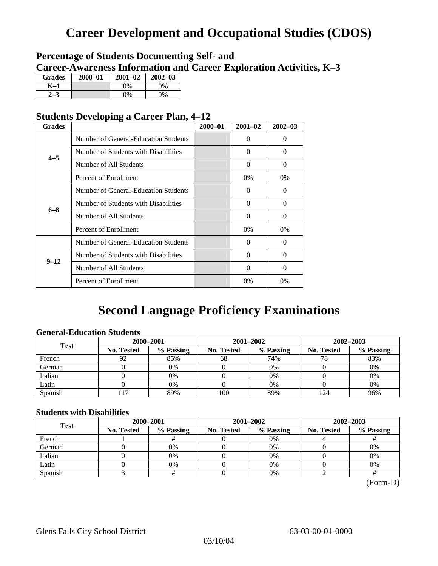## **Career Development and Occupational Studies (CDOS)**

### **Percentage of Students Documenting Self- and Career-Awareness Information and Career Exploration Activities, K–3**

| <b>Grades</b> | 2000-01 | $2001 - 02$ | $2002 - 03$ |
|---------------|---------|-------------|-------------|
| K–1           |         | $0\%$       | $0\%$       |
|               |         | $0\%$       | $0\%$       |

### **Students Developing a Career Plan, 4–12**

| <b>Grades</b>                                                                                              |                                      | $2000 - 01$ | $2001 - 02$ | $2002 - 03$ |
|------------------------------------------------------------------------------------------------------------|--------------------------------------|-------------|-------------|-------------|
|                                                                                                            | Number of General-Education Students |             | $\Omega$    | $\theta$    |
|                                                                                                            | Number of Students with Disabilities |             | 0           | $\Omega$    |
|                                                                                                            | Number of All Students               |             | $\Omega$    | $\Omega$    |
|                                                                                                            | Percent of Enrollment                |             | $0\%$       | 0%          |
|                                                                                                            | Number of General-Education Students |             | 0           | 0           |
|                                                                                                            | Number of Students with Disabilities |             | $\theta$    | $\Omega$    |
|                                                                                                            | Number of All Students               |             | $\theta$    | $\Omega$    |
| $4 - 5$<br>$6 - 8$<br>Percent of Enrollment<br>$9 - 12$<br>Number of All Students<br>Percent of Enrollment |                                      |             | $0\%$       | $0\%$       |
|                                                                                                            | Number of General-Education Students |             | 0           | $\Omega$    |
|                                                                                                            | Number of Students with Disabilities |             | 0           | $\Omega$    |
|                                                                                                            |                                      |             | 0           | $\Omega$    |
|                                                                                                            |                                      |             | $0\%$       | $0\%$       |

## **Second Language Proficiency Examinations**

### **General-Education Students**

| <b>Test</b> | 2000-2001         |           |                   | 2001-2002 | 2002-2003         |           |  |
|-------------|-------------------|-----------|-------------------|-----------|-------------------|-----------|--|
|             | <b>No. Tested</b> | % Passing | <b>No. Tested</b> | % Passing | <b>No. Tested</b> | % Passing |  |
| French      | 92                | 85%       | 68                | 74%       | 78                | 83%       |  |
| German      |                   | 0%        |                   | $0\%$     |                   | 0%        |  |
| Italian     |                   | 0%        |                   | 0%        |                   | 0%        |  |
| Latin       |                   | 0%        |                   | 0%        |                   | 0%        |  |
| Spanish     |                   | 89%       | 100               | 89%       | 24                | 96%       |  |

### **Students with Disabilities**

| <b>Test</b> | 2000-2001         |                                                                                                                     |           | 2002-2003 |    |  |
|-------------|-------------------|---------------------------------------------------------------------------------------------------------------------|-----------|-----------|----|--|
|             | <b>No. Tested</b> | 2001-2002<br>% Passing<br>% Passing<br>No. Tested<br><b>No. Tested</b><br>0%<br>0%<br>0%<br>0%<br>0%<br>$0\%$<br>0% | % Passing |           |    |  |
| French      |                   |                                                                                                                     |           |           |    |  |
| German      |                   |                                                                                                                     |           |           | 0% |  |
| Italian     |                   |                                                                                                                     |           |           | 0% |  |
| Latin       |                   |                                                                                                                     |           |           | 0% |  |
| Spanish     |                   |                                                                                                                     | 0%        |           |    |  |

(Form-D)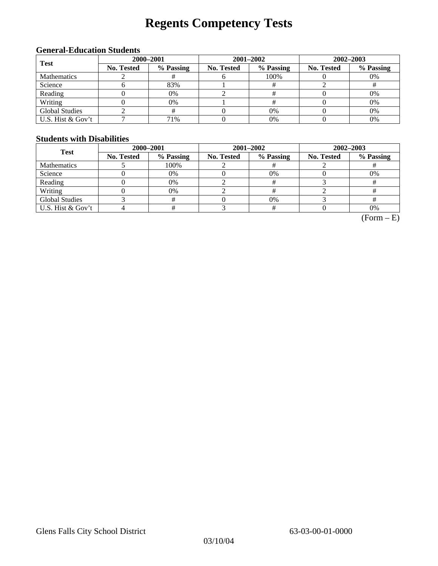# **Regents Competency Tests**

### **General-Education Students**

| <b>Test</b>           | 2000-2001         |                                                                                                                            | 2001-2002 | $2002 - 2003$ |    |  |
|-----------------------|-------------------|----------------------------------------------------------------------------------------------------------------------------|-----------|---------------|----|--|
|                       | <b>No. Tested</b> | % Passing<br>% Passing<br>% Passing<br><b>No. Tested</b><br><b>No. Tested</b><br>100%<br>0%<br>83%<br>0%<br>0%<br>0%<br>0% |           |               |    |  |
| Mathematics           |                   |                                                                                                                            |           |               |    |  |
| Science               |                   |                                                                                                                            |           |               |    |  |
| Reading               |                   |                                                                                                                            |           |               |    |  |
| Writing               |                   |                                                                                                                            |           |               |    |  |
| <b>Global Studies</b> |                   |                                                                                                                            | 0%        |               | 0% |  |
| U.S. Hist & Gov't     |                   | 71%                                                                                                                        | $0\%$     |               | 0% |  |

#### **Students with Disabilities**

| <b>Test</b>           | 2000-2001  |           |            | 2001-2002 | 2002-2003  |           |  |
|-----------------------|------------|-----------|------------|-----------|------------|-----------|--|
|                       | No. Tested | % Passing | No. Tested | % Passing | No. Tested | % Passing |  |
| <b>Mathematics</b>    |            | 100%      |            |           |            |           |  |
| Science               |            | 0%        |            | $0\%$     |            | 0%        |  |
| Reading               |            | 0%        |            |           |            |           |  |
| Writing               |            | 0%        |            |           |            |           |  |
| <b>Global Studies</b> |            |           |            | 0%        |            |           |  |
| U.S. Hist & Gov't     |            |           |            |           |            | 0%        |  |

 $(Form - E)$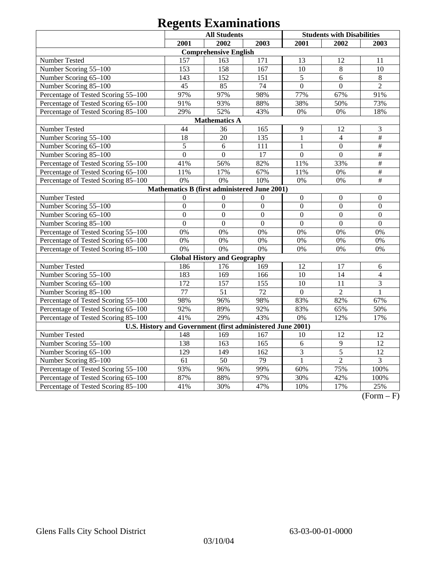|                                                            | <b>All Students</b> |                                              |                  | <b>Students with Disabilities</b> |                  |                           |
|------------------------------------------------------------|---------------------|----------------------------------------------|------------------|-----------------------------------|------------------|---------------------------|
|                                                            | 2001                | 2002                                         | 2003             | 2001                              | 2002             | 2003                      |
|                                                            |                     | <b>Comprehensive English</b>                 |                  |                                   |                  |                           |
| Number Tested                                              | 157                 | 163                                          | 171              | 13                                | 12               | 11                        |
| Number Scoring 55-100                                      | 153                 | 158                                          | 167              | 10                                | $\,8\,$          | 10                        |
| Number Scoring 65-100                                      | 143                 | 152                                          | 151              | 5                                 | 6                | 8                         |
| Number Scoring 85-100                                      | 45                  | 85                                           | $\overline{74}$  | $\overline{0}$                    | $\overline{0}$   | $\overline{2}$            |
| Percentage of Tested Scoring 55-100                        | 97%                 | 97%                                          | 98%              | 77%                               | 67%              | 91%                       |
| Percentage of Tested Scoring 65-100                        | 91%                 | 93%                                          | 88%              | 38%                               | 50%              | 73%                       |
| Percentage of Tested Scoring 85-100                        | 29%                 | 52%                                          | 43%              | 0%                                | 0%               | 18%                       |
|                                                            |                     | <b>Mathematics A</b>                         |                  |                                   |                  |                           |
| Number Tested                                              | 44                  | 36                                           | 165              | 9                                 | 12               | 3                         |
| Number Scoring 55-100                                      | 18                  | 20                                           | 135              | $\mathbf{1}$                      | $\overline{4}$   | $\frac{1}{2}$             |
| Number Scoring 65-100                                      | 5                   | 6                                            | 111              | $\mathbf{1}$                      | $\mathbf{0}$     | #                         |
| Number Scoring 85-100                                      | $\overline{0}$      | $\boldsymbol{0}$                             | 17               | $\boldsymbol{0}$                  | $\boldsymbol{0}$ | $\overline{\overline{H}}$ |
| Percentage of Tested Scoring 55-100                        | 41%                 | 56%                                          | 82%              | 11%                               | 33%              | $\overline{\#}$           |
| Percentage of Tested Scoring 65-100                        | 11%                 | 17%                                          | 67%              | 11%                               | 0%               | $\frac{1}{2}$             |
| Percentage of Tested Scoring 85-100                        | 0%                  | 0%                                           | 10%              | $0\%$                             | 0%               | $\#$                      |
|                                                            |                     | Mathematics B (first administered June 2001) |                  |                                   |                  |                           |
| Number Tested                                              | $\Omega$            | $\overline{0}$                               | $\boldsymbol{0}$ | $\boldsymbol{0}$                  | $\boldsymbol{0}$ | $\overline{0}$            |
| Number Scoring 55-100                                      | $\overline{0}$      | $\overline{0}$                               | $\overline{0}$   | $\overline{0}$                    | $\overline{0}$   | $\overline{0}$            |
| Number Scoring 65-100                                      | $\overline{0}$      | $\overline{0}$                               | $\overline{0}$   | $\overline{0}$                    | $\overline{0}$   | $\overline{0}$            |
| Number Scoring 85-100                                      | $\overline{0}$      | $\overline{0}$                               | $\overline{0}$   | $\overline{0}$                    | $\overline{0}$   | $\overline{0}$            |
| Percentage of Tested Scoring 55-100                        | 0%                  | 0%                                           | 0%               | 0%                                | 0%               | 0%                        |
| Percentage of Tested Scoring 65-100                        | 0%                  | 0%                                           | 0%               | 0%                                | 0%               | 0%                        |
| Percentage of Tested Scoring 85-100                        | 0%                  | 0%                                           | 0%               | 0%                                | 0%               | 0%                        |
|                                                            |                     | <b>Global History and Geography</b>          |                  |                                   |                  |                           |
| Number Tested                                              | 186                 | 176                                          | 169              | 12                                | 17               | 6                         |
| Number Scoring 55-100                                      | 183                 | 169                                          | 166              | 10                                | 14               | $\overline{4}$            |
| Number Scoring 65-100                                      | 172                 | 157                                          | 155              | 10                                | 11               | $\overline{3}$            |
| Number Scoring 85-100                                      | 77                  | $\overline{51}$                              | 72               | $\mathbf{0}$                      | $\overline{2}$   | $\mathbf{1}$              |
| Percentage of Tested Scoring 55-100                        | 98%                 | 96%                                          | 98%              | 83%                               | 82%              | 67%                       |
| Percentage of Tested Scoring 65-100                        | 92%                 | 89%                                          | 92%              | 83%                               | 65%              | 50%                       |
| Percentage of Tested Scoring 85-100                        | 41%                 | 29%                                          | 43%              | 0%                                | 12%              | 17%                       |
| U.S. History and Government (first administered June 2001) |                     |                                              |                  |                                   |                  |                           |
| Number Tested                                              | 148                 | 169                                          | 167              | 10                                | 12               | 12                        |
| Number Scoring 55-100                                      | 138                 | 163                                          | 165              | 6                                 | $\overline{9}$   | $\overline{12}$           |
| Number Scoring 65-100                                      | 129                 | 149                                          | 162              | 3                                 | $\overline{5}$   | $\overline{12}$           |
| Number Scoring 85-100                                      | 61                  | 50                                           | 79               | 1                                 | $\overline{2}$   | 3                         |
| Percentage of Tested Scoring 55-100                        | 93%                 | 96%                                          | 99%              | 60%                               | 75%              | 100%                      |
| Percentage of Tested Scoring 65-100                        | 87%                 | 88%                                          | 97%              | 30%                               | 42%              | 100%                      |
| Percentage of Tested Scoring 85-100                        | 41%                 | 30%                                          | 47%              | 10%                               | 17%              | 25%                       |

 $(Form - F)$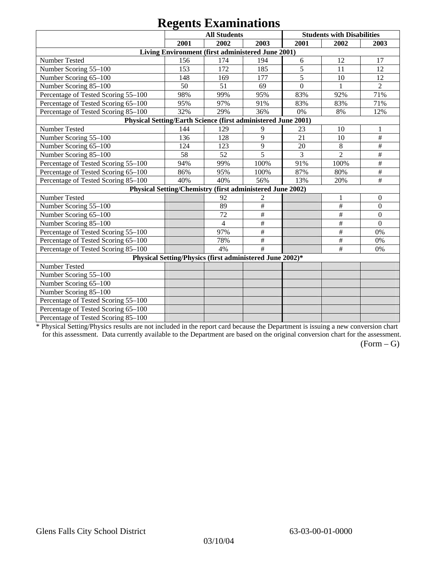|                                                               |      | $\sim$                                                    |                           |                |                                   |                  |
|---------------------------------------------------------------|------|-----------------------------------------------------------|---------------------------|----------------|-----------------------------------|------------------|
|                                                               |      | <b>All Students</b>                                       |                           |                | <b>Students with Disabilities</b> |                  |
|                                                               | 2001 | 2002                                                      | 2003                      | 2001           | 2002                              | 2003             |
|                                                               |      | Living Environment (first administered June 2001)         |                           |                |                                   |                  |
| Number Tested                                                 | 156  | 174                                                       | 194                       | 6              | 12                                | 17               |
| Number Scoring 55-100                                         | 153  | 172                                                       | 185                       | 5              | 11                                | 12               |
| Number Scoring 65-100                                         | 148  | 169                                                       | 177                       | 5              | 10                                | 12               |
| Number Scoring 85-100                                         | 50   | 51                                                        | 69                        | $\overline{0}$ |                                   | $\overline{2}$   |
| Percentage of Tested Scoring 55-100                           | 98%  | 99%                                                       | 95%                       | 83%            | 92%                               | 71%              |
| Percentage of Tested Scoring 65-100                           | 95%  | 97%                                                       | 91%                       | 83%            | 83%                               | 71%              |
| Percentage of Tested Scoring 85-100                           | 32%  | 29%                                                       | 36%                       | 0%             | 8%                                | 12%              |
| Physical Setting/Earth Science (first administered June 2001) |      |                                                           |                           |                |                                   |                  |
| Number Tested                                                 | 144  | 129                                                       | 9                         | 23             | 10                                |                  |
| Number Scoring 55-100                                         | 136  | 128                                                       | 9                         | 21             | 10                                | $\#$             |
| Number Scoring 65-100                                         | 124  | 123                                                       | 9                         | 20             | $\,8\,$                           | $\#$             |
| Number Scoring 85-100                                         | 58   | 52                                                        | 5                         | 3              | $\overline{2}$                    | $\#$             |
| Percentage of Tested Scoring 55-100                           | 94%  | 99%                                                       | 100%                      | 91%            | 100%                              | $\#$             |
| Percentage of Tested Scoring 65-100                           | 86%  | 95%                                                       | 100%                      | 87%            | 80%                               | $\#$             |
| Percentage of Tested Scoring 85-100                           | 40%  | 40%                                                       | 56%                       | 13%            | 20%                               | #                |
|                                                               |      | Physical Setting/Chemistry (first administered June 2002) |                           |                |                                   |                  |
| Number Tested                                                 |      | 92                                                        | $\overline{c}$            |                |                                   | $\mathbf{0}$     |
| Number Scoring 55-100                                         |      | 89                                                        | $\#$                      |                | $\#$                              | $\overline{0}$   |
| Number Scoring 65-100                                         |      | 72                                                        | $\#$                      |                | $\#$                              | $\boldsymbol{0}$ |
| Number Scoring 85-100                                         |      | $\overline{4}$                                            | $\#$                      |                | $\#$                              | $\overline{0}$   |
| Percentage of Tested Scoring 55-100                           |      | 97%                                                       | $\overline{\overline{H}}$ |                | $\#$                              | 0%               |
| Percentage of Tested Scoring 65-100                           |      | 78%                                                       | $\#$                      |                | $\#$                              | 0%               |
| Percentage of Tested Scoring 85-100                           |      | 4%                                                        | #                         |                | $\#$                              | 0%               |
|                                                               |      | Physical Setting/Physics (first administered June 2002)*  |                           |                |                                   |                  |
| Number Tested                                                 |      |                                                           |                           |                |                                   |                  |
| Number Scoring 55-100                                         |      |                                                           |                           |                |                                   |                  |
| Number Scoring 65-100                                         |      |                                                           |                           |                |                                   |                  |
| Number Scoring 85-100                                         |      |                                                           |                           |                |                                   |                  |
| Percentage of Tested Scoring 55-100                           |      |                                                           |                           |                |                                   |                  |
| Percentage of Tested Scoring 65-100                           |      |                                                           |                           |                |                                   |                  |
| Percentage of Tested Scoring 85-100                           |      |                                                           |                           |                |                                   |                  |

\* Physical Setting/Physics results are not included in the report card because the Department is issuing a new conversion chart for this assessment. Data currently available to the Department are based on the original conversion chart for the assessment.

 $(Form - G)$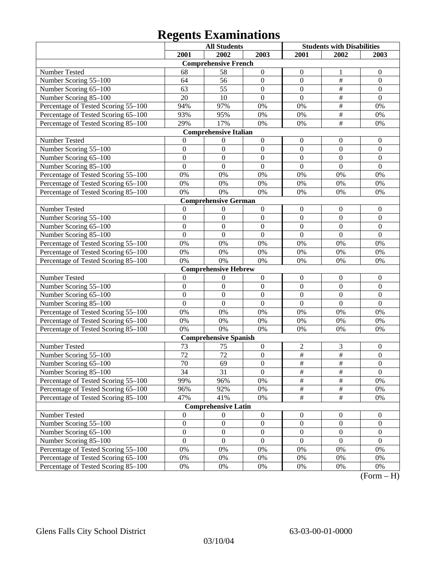|                                     | <b>All Students</b> |                              | <b>Students with Disabilities</b> |                  |                         |                       |
|-------------------------------------|---------------------|------------------------------|-----------------------------------|------------------|-------------------------|-----------------------|
|                                     | 2001                | 2002                         | 2003                              | 2001             | 2002                    | 2003                  |
|                                     |                     | <b>Comprehensive French</b>  |                                   |                  |                         |                       |
| Number Tested                       | 68                  | 58                           | $\boldsymbol{0}$                  | $\mathbf{0}$     | 1                       | $\overline{0}$        |
| Number Scoring 55-100               | 64                  | 56                           | $\mathbf{0}$                      | $\overline{0}$   | $\#$                    | $\mathbf{0}$          |
| Number Scoring 65-100               | 63                  | 55                           | $\overline{0}$                    | $\overline{0}$   | $\overline{\ddot{\pi}}$ | $\overline{0}$        |
| Number Scoring 85-100               | 20                  | 10                           | $\mathbf{0}$                      | $\overline{0}$   | $\frac{1}{2}$           | $\overline{0}$        |
| Percentage of Tested Scoring 55-100 | 94%                 | 97%                          | 0%                                | 0%               | $\frac{1}{2}$           | 0%                    |
| Percentage of Tested Scoring 65-100 | 93%                 | 95%                          | 0%                                | 0%               | $\frac{1}{2}$           | 0%                    |
| Percentage of Tested Scoring 85-100 | 29%                 | 17%                          | 0%                                | 0%               | #                       | 0%                    |
|                                     |                     | <b>Comprehensive Italian</b> |                                   |                  |                         |                       |
| Number Tested                       | $\Omega$            | $\boldsymbol{0}$             | $\boldsymbol{0}$                  | $\boldsymbol{0}$ | $\boldsymbol{0}$        | $\boldsymbol{0}$      |
| Number Scoring 55-100               | $\overline{0}$      | $\mathbf{0}$                 | $\mathbf{0}$                      | $\overline{0}$   | $\boldsymbol{0}$        | $\mathbf{0}$          |
| Number Scoring 65-100               | $\overline{0}$      | $\mathbf{0}$                 | $\overline{0}$                    | $\overline{0}$   | $\mathbf{0}$            | $\mathbf{0}$          |
| Number Scoring 85-100               | $\overline{0}$      | $\mathbf{0}$                 | $\overline{0}$                    | $\overline{0}$   | $\mathbf{0}$            | $\mathbf{0}$          |
| Percentage of Tested Scoring 55-100 | 0%                  | 0%                           | 0%                                | 0%               | 0%                      | 0%                    |
| Percentage of Tested Scoring 65-100 | $0\%$               | 0%                           | 0%                                | 0%               | 0%                      | 0%                    |
| Percentage of Tested Scoring 85-100 | 0%                  | 0%                           | 0%                                | 0%               | 0%                      | 0%                    |
|                                     |                     | <b>Comprehensive German</b>  |                                   |                  |                         |                       |
| Number Tested                       | $\mathbf{0}$        | 0                            | $\boldsymbol{0}$                  | $\boldsymbol{0}$ | $\boldsymbol{0}$        | $\boldsymbol{0}$      |
| Number Scoring 55-100               | $\overline{0}$      | $\mathbf{0}$                 | $\mathbf{0}$                      | $\boldsymbol{0}$ | $\boldsymbol{0}$        | $\mathbf{0}$          |
| Number Scoring 65-100               | $\overline{0}$      | $\overline{0}$               | $\overline{0}$                    | $\overline{0}$   | $\mathbf{0}$            | $\overline{0}$        |
| Number Scoring 85-100               | $\overline{0}$      | $\overline{0}$               | $\overline{0}$                    | $\overline{0}$   | $\mathbf{0}$            | $\overline{0}$        |
| Percentage of Tested Scoring 55-100 | 0%                  | 0%                           | 0%                                | 0%               | 0%                      | 0%                    |
| Percentage of Tested Scoring 65-100 | $0\%$               | 0%                           | 0%                                | 0%               | 0%                      | 0%                    |
| Percentage of Tested Scoring 85-100 | 0%                  | 0%                           | 0%                                | 0%               | 0%                      | 0%                    |
|                                     |                     | <b>Comprehensive Hebrew</b>  |                                   |                  |                         |                       |
| Number Tested                       | $\mathbf{0}$        | $\theta$                     | $\boldsymbol{0}$                  | $\boldsymbol{0}$ | $\boldsymbol{0}$        | $\boldsymbol{0}$      |
| Number Scoring 55-100               | $\overline{0}$      | $\mathbf{0}$                 | $\mathbf{0}$                      | $\overline{0}$   | $\mathbf{0}$            | $\boldsymbol{0}$      |
| Number Scoring 65-100               | $\overline{0}$      | $\mathbf{0}$                 | $\overline{0}$                    | $\overline{0}$   | $\mathbf{0}$            | $\boldsymbol{0}$      |
| Number Scoring 85-100               | $\overline{0}$      | $\boldsymbol{0}$             | $\mathbf{0}$                      | $\overline{0}$   | $\mathbf{0}$            | $\mathbf{0}$          |
| Percentage of Tested Scoring 55-100 | 0%                  | 0%                           | 0%                                | 0%               | 0%                      | 0%                    |
| Percentage of Tested Scoring 65-100 | $0\%$               | 0%                           | 0%                                | 0%               | 0%                      | 0%                    |
| Percentage of Tested Scoring 85-100 | 0%                  | 0%                           | 0%                                | 0%               | 0%                      | 0%                    |
|                                     |                     | <b>Comprehensive Spanish</b> |                                   |                  |                         |                       |
| Number Tested                       | 73                  | 75                           | $\boldsymbol{0}$                  | $\sqrt{2}$       | 3                       | $\boldsymbol{0}$      |
| Number Scoring 55-100               | $\overline{72}$     | 72                           | $\boldsymbol{0}$                  | $\overline{\#}$  | $\overline{\ddot{\pi}}$ | $\overline{0}$        |
| Number Scoring 65–100               | 70                  | $\overline{69}$              | $\boldsymbol{0}$                  | $\overline{\#}$  | $\#$                    | $\theta$              |
| Number Scoring 85-100               | 34                  | 31                           | $\overline{0}$                    | $\overline{\#}$  | $\overline{\#}$         | $\overline{0}$        |
| Percentage of Tested Scoring 55-100 | 99%                 | 96%                          | 0%                                | $\frac{1}{2}$    | $\#$                    | 0%                    |
| Percentage of Tested Scoring 65-100 | 96%                 | 92%                          | 0%                                | $\frac{1}{2}$    | $\#$                    | 0%                    |
| Percentage of Tested Scoring 85-100 | 47%                 | 41%                          | 0%                                | $\overline{\#}$  | $\overline{\#}$         | 0%                    |
|                                     |                     | <b>Comprehensive Latin</b>   |                                   |                  |                         |                       |
| Number Tested                       | $\mathbf{0}$        | $\boldsymbol{0}$             | $\boldsymbol{0}$                  | $\boldsymbol{0}$ | $\boldsymbol{0}$        | $\boldsymbol{0}$      |
| Number Scoring 55-100               | $\boldsymbol{0}$    | $\boldsymbol{0}$             | $\boldsymbol{0}$                  | $\boldsymbol{0}$ | $\boldsymbol{0}$        | $\boldsymbol{0}$      |
| Number Scoring 65-100               | $\boldsymbol{0}$    | $\boldsymbol{0}$             | $\boldsymbol{0}$                  | $\boldsymbol{0}$ | $\boldsymbol{0}$        | $\overline{0}$        |
| Number Scoring 85-100               | $\overline{0}$      | $\boldsymbol{0}$             | $\mathbf{0}$                      | $\boldsymbol{0}$ | $\boldsymbol{0}$        | $\overline{0}$        |
| Percentage of Tested Scoring 55-100 | $0\%$               | 0%                           | 0%                                | 0%               | $0\%$                   | 0%                    |
| Percentage of Tested Scoring 65-100 | 0%                  | 0%                           | $0\%$                             | 0%               | 0%                      | 0%                    |
| Percentage of Tested Scoring 85-100 | $0\%$               | $0\%$                        | $0\%$                             | 0%               | 0%                      | $0\%$<br>$\mathbf{T}$ |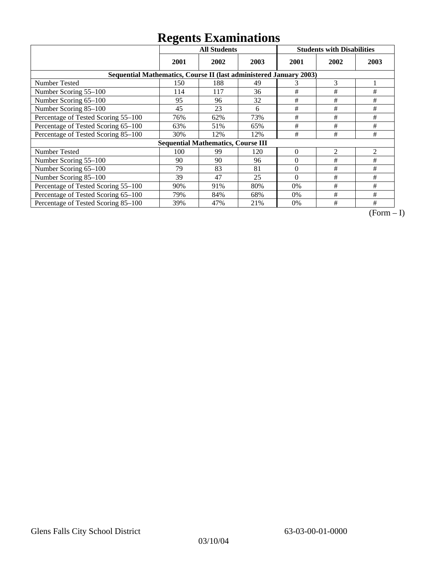|                                                                    | <b>All Students</b> |                                           |      |          | <b>Students with Disabilities</b> |      |  |  |
|--------------------------------------------------------------------|---------------------|-------------------------------------------|------|----------|-----------------------------------|------|--|--|
|                                                                    | 2001                | 2002                                      | 2003 | 2001     | 2002                              | 2003 |  |  |
| Sequential Mathematics, Course II (last administered January 2003) |                     |                                           |      |          |                                   |      |  |  |
| Number Tested                                                      | 150                 | 188                                       | 49   | 3        | 3                                 |      |  |  |
| Number Scoring 55-100                                              | 114                 | 117                                       | 36   | $\#$     | $\#$                              | #    |  |  |
| Number Scoring 65-100                                              | 95                  | 96                                        | 32   | #        | #                                 | #    |  |  |
| Number Scoring 85-100                                              | 45                  | 23                                        | 6    | #        | #                                 | $\#$ |  |  |
| Percentage of Tested Scoring 55-100                                | 76%                 | 62%                                       | 73%  | $\#$     | #                                 | #    |  |  |
| Percentage of Tested Scoring 65-100                                | 63%                 | 51%                                       | 65%  | #        | #                                 | #    |  |  |
| Percentage of Tested Scoring 85-100                                | 30%                 | 12%                                       | 12%  | $\#$     | #                                 | $\#$ |  |  |
|                                                                    |                     | <b>Sequential Mathematics, Course III</b> |      |          |                                   |      |  |  |
| <b>Number Tested</b>                                               | 100                 | 99                                        | 120  | $\theta$ | 2                                 | 2    |  |  |
| Number Scoring 55–100                                              | 90                  | 90                                        | 96   | $\theta$ | #                                 | #    |  |  |
| Number Scoring 65-100                                              | 79                  | 83                                        | 81   | $\theta$ | #                                 | #    |  |  |
| Number Scoring 85-100                                              | 39                  | 47                                        | 25   | $\Omega$ | #                                 | #    |  |  |
| Percentage of Tested Scoring 55-100                                | 90%                 | 91%                                       | 80%  | 0%       | #                                 | #    |  |  |
| Percentage of Tested Scoring 65-100                                | 79%                 | 84%                                       | 68%  | $0\%$    | #                                 | #    |  |  |
| Percentage of Tested Scoring 85-100                                | 39%                 | 47%                                       | 21%  | 0%       | #                                 | #    |  |  |

 $\overline{(Form-I)}$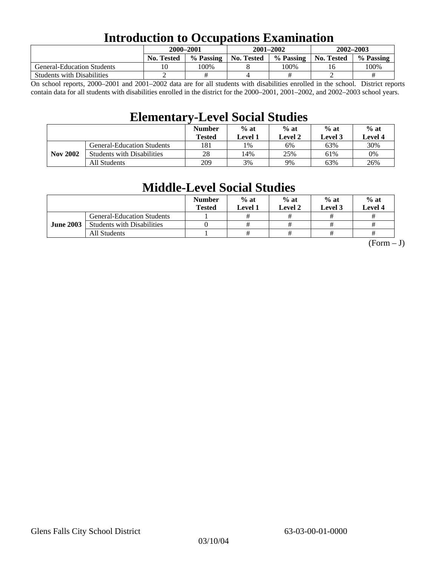### **Introduction to Occupations Examination**

|                                   | 2000–2001         |           |            | 2001-2002 | $2002 - 2003$ |           |  |
|-----------------------------------|-------------------|-----------|------------|-----------|---------------|-----------|--|
|                                   | <b>No. Tested</b> | % Passing | No. Tested | % Passing | No. Tested    | % Passing |  |
| <b>General-Education Students</b> |                   | 100%      |            | 100%      |               | 100%      |  |
| <b>Students with Disabilities</b> |                   |           |            |           |               |           |  |

On school reports, 2000–2001 and 2001–2002 data are for all students with disabilities enrolled in the school. District reports contain data for all students with disabilities enrolled in the district for the 2000–2001, 2001–2002, and 2002–2003 school years.

### **Elementary-Level Social Studies**

|                 |                                   | <b>Number</b><br><b>Tested</b> | $%$ at<br>$%$ at<br><b>Level 2</b><br>Level 1 |     | $%$ at<br><b>Level</b> 3 | $%$ at<br>Level 4 |
|-----------------|-----------------------------------|--------------------------------|-----------------------------------------------|-----|--------------------------|-------------------|
| <b>Nov 2002</b> | <b>General-Education Students</b> | 181                            | $1\%$                                         | 6%  | 63%                      | 30%               |
|                 | <b>Students with Disabilities</b> | 28                             | 14%                                           | 25% | 61%                      | 0%                |
|                 | All Students                      | 209                            | 3%                                            | 9%  | 63%                      | 26%               |

### **Middle-Level Social Studies**

|                  |                                   | <b>Number</b><br><b>Tested</b> | $%$ at<br>Level 1 | $%$ at<br><b>Level 2</b> | $%$ at<br><b>Level 3</b> | $%$ at<br>Level 4 |
|------------------|-----------------------------------|--------------------------------|-------------------|--------------------------|--------------------------|-------------------|
| <b>June 2003</b> | <b>General-Education Students</b> |                                | #                 |                          | #                        |                   |
|                  | <b>Students with Disabilities</b> |                                | #                 |                          | #                        |                   |
|                  | All Students                      |                                | #                 |                          | #                        |                   |

 $(Form - J)$